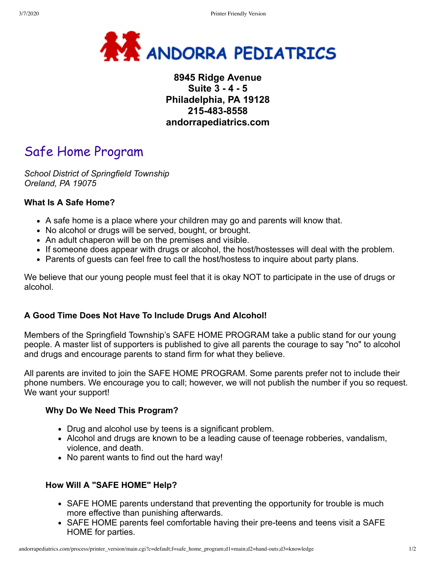

# **8945 Ridge Avenue Suite 3 - 4 - 5 Philadelphia, PA 19128 215-483-8558 andorrapediatrics.com**

# Safe Home Program

*School District of Springfield Township Oreland, PA 19075*

#### **What Is A Safe Home?**

- A safe home is a place where your children may go and parents will know that.
- No alcohol or drugs will be served, bought, or brought.
- An adult chaperon will be on the premises and visible.
- If someone does appear with drugs or alcohol, the host/hostesses will deal with the problem.
- Parents of guests can feel free to call the host/hostess to inquire about party plans.

We believe that our young people must feel that it is okay NOT to participate in the use of drugs or alcohol.

#### **A Good Time Does Not Have To Include Drugs And Alcohol!**

Members of the Springfield Township's SAFE HOME PROGRAM take a public stand for our young people. A master list of supporters is published to give all parents the courage to say "no" to alcohol and drugs and encourage parents to stand firm for what they believe.

All parents are invited to join the SAFE HOME PROGRAM. Some parents prefer not to include their phone numbers. We encourage you to call; however, we will not publish the number if you so request. We want your support!

#### **Why Do We Need This Program?**

- Drug and alcohol use by teens is a significant problem.
- Alcohol and drugs are known to be a leading cause of teenage robberies, vandalism, violence, and death.
- No parent wants to find out the hard way!

#### **How Will A "SAFE HOME" Help?**

- SAFE HOME parents understand that preventing the opportunity for trouble is much more effective than punishing afterwards.
- SAFE HOME parents feel comfortable having their pre-teens and teens visit a SAFE HOME for parties.